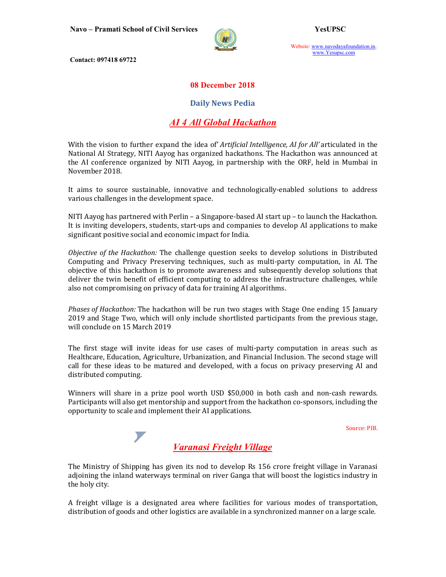

Website: www.navodayafoundation.in, www.Yesupsc.com

Contact: 097418 69722

## 08 December 2018

### Daily News Pedia

## AI 4 All Global Hackathon

With the vision to further expand the idea of Artificial Intelligence, AI for All' articulated in the National AI Strategy, NITI Aayog has organized hackathons. The Hackathon was announced at the AI conference organized by NITI Aayog, in partnership with the ORF, held in Mumbai in November 2018.

It aims to source sustainable, innovative and technologically-enabled solutions to address various challenges in the development space.

NITI Aayog has partnered with Perlin – a Singapore-based AI start up – to launch the Hackathon. It is inviting developers, students, start-ups and companies to develop AI applications to make significant positive social and economic impact for India.

Objective of the Hackathon: The challenge question seeks to develop solutions in Distributed Computing and Privacy Preserving techniques, such as multi-party computation, in AI. The objective of this hackathon is to promote awareness and subsequently develop solutions that deliver the twin benefit of efficient computing to address the infrastructure challenges, while also not compromising on privacy of data for training AI algorithms.

Phases of Hackathon: The hackathon will be run two stages with Stage One ending 15 January 2019 and Stage Two, which will only include shortlisted participants from the previous stage, will conclude on 15 March 2019

The first stage will invite ideas for use cases of multi-party computation in areas such as Healthcare, Education, Agriculture, Urbanization, and Financial Inclusion. The second stage will call for these ideas to be matured and developed, with a focus on privacy preserving AI and distributed computing.

Winners will share in a prize pool worth USD \$50,000 in both cash and non-cash rewards. Participants will also get mentorship and support from the hackathon co-sponsors, including the opportunity to scale and implement their AI applications.

Source: PIB.



The Ministry of Shipping has given its nod to develop Rs 156 crore freight village in Varanasi adjoining the inland waterways terminal on river Ganga that will boost the logistics industry in the holy city.

A freight village is a designated area where facilities for various modes of transportation, distribution of goods and other logistics are available in a synchronized manner on a large scale.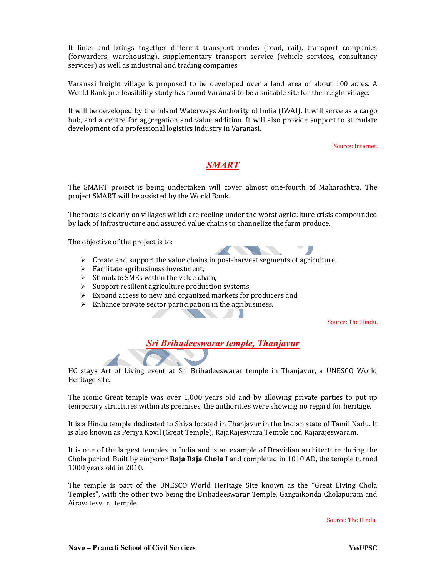It links and brings together different transport modes (road, rail), transport companies (forwarders, warehousing), supplementary transport service (vehicle services, consultancy services) as well as industrial and trading companies.

Varanasi freight village is proposed to be developed over a land area of about 100 acres. A World Bank pre-feasibility study has found Varanasi to be a suitable site for the freight village.

It will be developed by the Inland Waterways Authority of India (IWAI). It will serve as a cargo hub, and a centre for aggregation and value addition. It will also provide support to stimulate development of a professional logistics industry in Varanasi.

Source: Internet.

# SMART

The SMART project is being undertaken will cover almost one-fourth of Maharashtra. The project SMART will be assisted by the World Bank.

The focus is clearly on villages which are reeling under the worst agriculture crisis compounded by lack of infrastructure and assured value chains to channelize the farm produce.

The objective of the project is to:

- $\triangleright$  Create and support the value chains in post-harvest segments of agriculture,
- $\triangleright$  Facilitate agribusiness investment,
- $\triangleright$  Stimulate SMEs within the value chain,
- $\triangleright$  Support resilient agriculture production systems,
- $\triangleright$  Expand access to new and organized markets for producers and
- $\triangleright$  Enhance private sector participation in the agribusiness.

Source: The Hindu.

Sri Brihadeeswarar temple, Thanjavur

HC stays Art of Living event at Sri Brihadeeswarar temple in Thanjavur, a UNESCO World Heritage site.

The iconic Great temple was over 1,000 years old and by allowing private parties to put up temporary structures within its premises, the authorities were showing no regard for heritage.

It is a Hindu temple dedicated to Shiva located in Thanjavur in the Indian state of Tamil Nadu. It is also known as Periya Kovil (Great Temple), RajaRajeswara Temple and Rajarajeswaram.

It is one of the largest temples in India and is an example of Dravidian architecture during the Chola period. Built by emperor Raja Raja Chola I and completed in 1010 AD, the temple turned 1000 years old in 2010.

The temple is part of the UNESCO World Heritage Site known as the "Great Living Chola Temples", with the other two being the Brihadeeswarar Temple, Gangaikonda Cholapuram and Airavatesvara temple.

Source: The Hindu.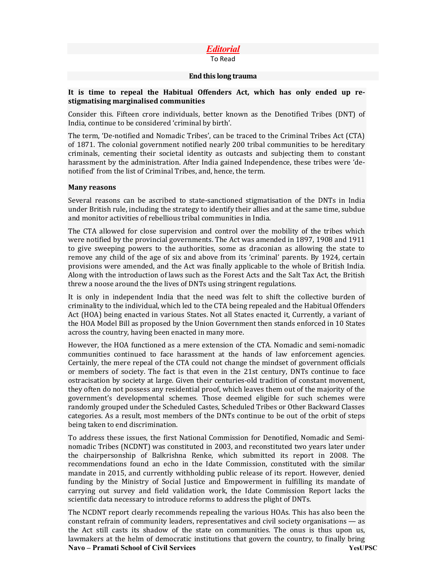# Editorial

To Read

#### End this long trauma

### It is time to repeal the Habitual Offenders Act, which has only ended up restigmatising marginalised communities

Consider this. Fifteen crore individuals, better known as the Denotified Tribes (DNT) of India, continue to be considered 'criminal by birth'.

The term, 'De-notified and Nomadic Tribes', can be traced to the Criminal Tribes Act (CTA) of 1871. The colonial government notified nearly 200 tribal communities to be hereditary criminals, cementing their societal identity as outcasts and subjecting them to constant harassment by the administration. After India gained Independence, these tribes were 'denotified' from the list of Criminal Tribes, and, hence, the term.

### Many reasons

Several reasons can be ascribed to state-sanctioned stigmatisation of the DNTs in India under British rule, including the strategy to identify their allies and at the same time, subdue and monitor activities of rebellious tribal communities in India.

The CTA allowed for close supervision and control over the mobility of the tribes which were notified by the provincial governments. The Act was amended in 1897, 1908 and 1911 to give sweeping powers to the authorities, some as draconian as allowing the state to remove any child of the age of six and above from its 'criminal' parents. By 1924, certain provisions were amended, and the Act was finally applicable to the whole of British India. Along with the introduction of laws such as the Forest Acts and the Salt Tax Act, the British threw a noose around the the lives of DNTs using stringent regulations.

It is only in independent India that the need was felt to shift the collective burden of criminality to the individual, which led to the CTA being repealed and the Habitual Offenders Act (HOA) being enacted in various States. Not all States enacted it, Currently, a variant of the HOA Model Bill as proposed by the Union Government then stands enforced in 10 States across the country, having been enacted in many more.

However, the HOA functioned as a mere extension of the CTA. Nomadic and semi-nomadic communities continued to face harassment at the hands of law enforcement agencies. Certainly, the mere repeal of the CTA could not change the mindset of government officials or members of society. The fact is that even in the 21st century, DNTs continue to face ostracisation by society at large. Given their centuries-old tradition of constant movement, they often do not possess any residential proof, which leaves them out of the majority of the government's developmental schemes. Those deemed eligible for such schemes were randomly grouped under the Scheduled Castes, Scheduled Tribes or Other Backward Classes categories. As a result, most members of the DNTs continue to be out of the orbit of steps being taken to end discrimination.

To address these issues, the first National Commission for Denotified, Nomadic and Seminomadic Tribes (NCDNT) was constituted in 2003, and reconstituted two years later under the chairpersonship of Balkrishna Renke, which submitted its report in 2008. The recommendations found an echo in the Idate Commission, constituted with the similar mandate in 2015, and currently withholding public release of its report. However, denied funding by the Ministry of Social Justice and Empowerment in fulfilling its mandate of carrying out survey and field validation work, the Idate Commission Report lacks the scientific data necessary to introduce reforms to address the plight of DNTs.

Navo – Pramati School of Civil Services The Contract of Contract of the VesUPSC The NCDNT report clearly recommends repealing the various HOAs. This has also been the constant refrain of community leaders, representatives and civil society organisations — as the Act still casts its shadow of the state on communities. The onus is thus upon us, lawmakers at the helm of democratic institutions that govern the country, to finally bring